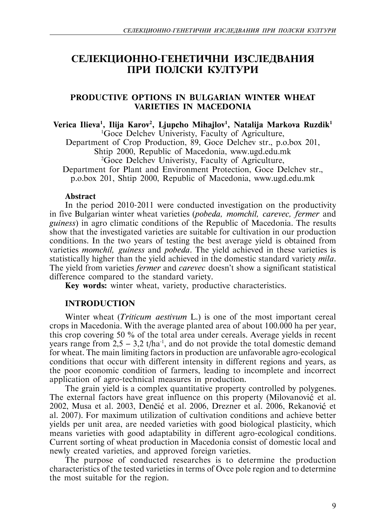# СЕЛЕКЦИОННО-ГЕНЕТИЧНИ ИЗСЛЕДВАНИЯ ПРИ ПОЛСКИ КУЛТУРИ

# **PRODUCTIVE OPTIONS IN BULGARIAN WINTER WHEAT VARIETIES IN MACEDONIA**

# Verica Ilieva<sup>1</sup>, Ilija Karov<sup>2</sup>, Liupcho Mihailov<sup>1</sup>, Natalija Markova Ruzdik<sup>1</sup>

1 Goce Delchev Univeristy, Faculty of Agriculture,

Department of Crop Production, 89, Goce Delchev str., p.o.box 201,

Shtip 2000, Republic of Macedonia, www.ugd.edu.mk <sup>2</sup> Goce Delchev Univeristy, Faculty of Agriculture,

Department for Plant and Environment Protection, Goce Delchev str., p.o.box 201, Shtip 2000, Republic of Macedonia, www.ugd.edu.mk

# **Abstract**

In the period 2010-2011 were conducted investigation on the productivity in five Bulgarian winter wheat varieties (*pobeda, momchil, carevec, fermer* and *guiness*) in agro climatic conditions of the Republic of Macedonia. The results show that the investigated varieties are suitable for cultivation in our production conditions. In the two years of testing the best average yield is obtained from varieties *momchil, guiness* and *pobeda*. The yield achieved in these varieties is statistically higher than the yield achieved in the domestic standard variety *mila*. The yield from varieties *fermer* and *carevec* doesn't show a significant statistical difference compared to the standard variety.

**Key words:** winter wheat, variety, productive characteristics.

# **INTRODUCTION**

Winter wheat (*Triticum aestivum* L.) is one of the most important cereal crops in Macedonia. With the average planted area of about 100.000 ha per year, this crop covering 50 % of the total area under cereals. Average yields in recent years range from  $2,5 - 3,2$  t/ha<sup>-1</sup>, and do not provide the total domestic demand for wheat. The main limiting factors in production are unfavorable agro-ecological conditions that occur with different intensity in different regions and years, as the poor economic condition of farmers, leading to incomplete and incorrect application of agro-technical measures in production.

The grain yield is a complex quantitative property controlled by polygenes. The external factors have great influence on this property (Milovanović et al. 2002, Musa et al. 2003, Denčić et al. 2006, Drezner et al. 2006, Rekanović et al. 2007). For maximum utilization of cultivation conditions and achieve better yields per unit area, are needed varieties with good biological plasticity, which means varieties with good adaptability in different agro-ecological conditions. Current sorting of wheat production in Macedonia consist of domestic local and newly created varieties, and approved foreign varieties.

The purpose of conducted researches is to determine the production characteristics of the tested varieties in terms of Ovce pole region and to determine the most suitable for the region.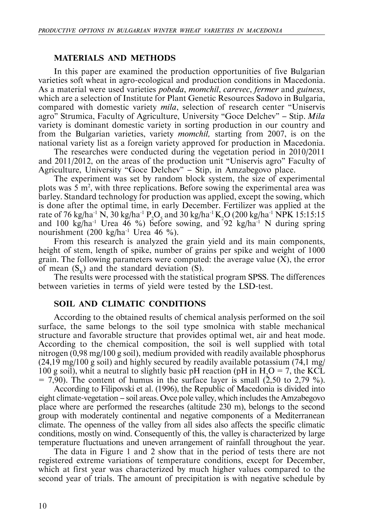#### **MATERIALS AND METHODS**

In this paper are examined the production opportunities of five Bulgarian varieties soft wheat in agro-ecological and production conditions in Macedonia. As a material were used varieties *pobeda*, *momchil*, *carevec*, *fermer* and *guiness*, which are a selection of Institute for Plant Genetic Resources Sadovo in Bulgaria, compared with domestic variety *mila*, selection of research center "Uniservis agro" Strumica, Faculty of Agriculture, University "Goce Delchev" — Stip. *Mila* variety is dominant domestic variety in sorting production in our country and from the Bulgarian varieties, variety *momchil,* starting from 2007, is on the national variety list as a foreign variety approved for production in Macedonia.

The researches were conducted during the vegetation period in 2010/2011 and 2011/2012, on the areas of the production unit "Uniservis agro" Faculty of Agriculture, University "Goce Delchev" — Stip, in Amzabegovo place.

The experiment was set by random block system, the size of experimental plots was  $5 \text{ m}^2$ , with three replications. Before sowing the experimental area was barley. Standard technology for production was applied, except the sowing, which is done after the optimal time, in early December. Fertilizer was applied at the rate of 76 kg/ha<sup>-1</sup> N, 30 kg/ha<sup>-1</sup> P<sub>2</sub>O<sub>5</sub> and 30 kg/ha<sup>-1</sup> K<sub>2</sub>O (200 kg/ha<sup>-1</sup> NPK 15:15:15 and 100 kg/ha<sup>-1</sup> Urea 46 %) before sowing, and  $92$  kg/ha<sup>-1</sup> N during spring nourishment (200 kg/ha<sup>-1</sup> Urea 46 %).

From this research is analyzed the grain yield and its main components, height of stem, length of spike, number of grains per spike and weight of 1000 grain. The following parameters were computed: the average value  $(X)$ , the error of mean  $(S_x)$  and the standard deviation (S).

The results were processed with the statistical program SPSS. The differences between varieties in terms of yield were tested by the LSD-test.

# **SOIL AND CLIMATIC CONDITIONS**

According to the obtained results of chemical analysis performed on the soil surface, the same belongs to the soil type smolnica with stable mechanical structure and favorable structure that provides optimal wet, air and heat mode. According to the chemical composition, the soil is well supplied with total nitrogen (0,98 mg/100 g soil), medium provided with readily available phosphorus  $(24.19 \text{ mg}/100 \text{ g soil})$  and highly secured by readily available potassium  $(74.1 \text{ mg})$ 100 g soil), whit a neutral to slightly basic pH reaction (pH in  $H_2O = 7$ , the KCL  $= 7,90$ . The content of humus in the surface layer is small  $(2,50 \text{ to } 2,79 \text{ %}).$ 

According to Filipovski et al. (1996), the Republic of Macedonia is divided into eight climate-vegetation — soil areas. Ovce pole valley, which includes the Amzabegovo place where are performed the researches (altitude 230 m), belongs to the second group with moderately continental and negative components of a Mediterranean climate. The openness of the valley from all sides also affects the specific climatic conditions, mostly on wind. Consequently of this, the valley is characterized by large temperature fluctuations and uneven arrangement of rainfall throughout the year.

The data in Figure 1 and 2 show that in the period of tests there are not registered extreme variations of temperature conditions, except for December, which at first year was characterized by much higher values compared to the second year of trials. The amount of precipitation is with negative schedule by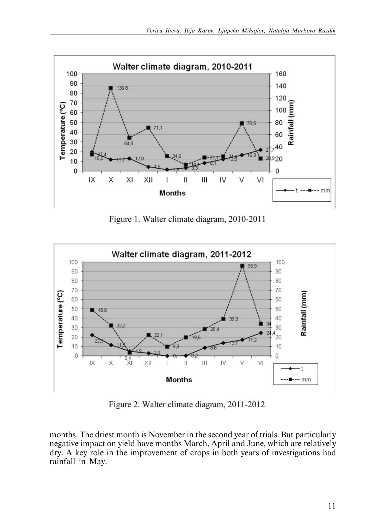

Figure 1. Walter climate diagram, 2010-2011



Figure 2. Walter climate diagram, 2011-2012

months. The driest month is November in the second year of trials. But particularly negative impact on yield have months March, April and June, which are relatively dry. A key role in the improvement of crops in both years of investigations had rainfall in May.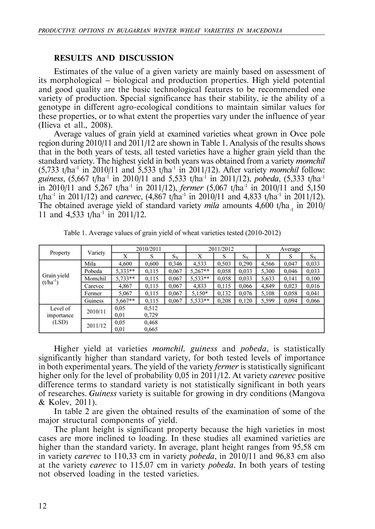# **RESULTS AND DISCUSSION**

Estimates of the value of a given variety are mainly based on assessment of its morphological — biological and production properties. High yield potential and good quality are the basic technological features to be recommended one variety of production. Special significance has their stability, ie the ability of a genotype in different agro-ecological conditions to maintain similar values for these properties, or to what extent the properties vary under the influence of year (Ilieva et all., 2008).

Average values of grain yield at examined varieties wheat grown in Ovce pole region during 2010/11 and 2011/12 are shown in Table 1. Analysis of the results shows that in the both years of tests, all tested varieties have a higher grain yield than the standard variety. The highest yield in both years was obtained from a variety *momchil*  $(5,733 \text{ t/ha}^1 \text{ in } 2010/11 \text{ and } 5,533 \text{ t/ha}^1 \text{ in } 2011/12)$ . After variety *momchil* follow: *guiness*, (5,667 t/ha<sup>-1</sup> in 2010/11 and 5,533 t/ha<sup>-1</sup> in 2011/12), *pobeda*, (5,333 t/ha<sup>-1</sup> in 2010/11 and 5,267 t/ha<sup>-1</sup> in 2011/12), *fermer* (5,067 t/ha<sup>-1</sup> in 2010/11 and 5,150  $t/ha$ <sup>1</sup> in 2011/12) and *carevec*, (4,867 t/ha<sup>1</sup> in 2010/11 and 4,833 t/ha<sup>1</sup> in 2011/12). The obtained average yield of standard variety *mila* amounts 4,600 t/ha<sub>1</sub> in 2010/ 11 and 4,533 t/ha<sup>-1</sup> in 2011/12.

| Property                        | Variety | 2010/2011 |       |       | 2011/2012 |       |       | Average |       |       |
|---------------------------------|---------|-----------|-------|-------|-----------|-------|-------|---------|-------|-------|
|                                 |         |           | s     | $S_X$ | Х         | S     | $S_X$ | Х       | S     | $S_X$ |
| Grain yield<br>$(t/ha^{-1})$    | Mila    | 4,600     | 0,600 | 0,346 | 4,533     | 0.503 | 0,290 | 4,566   | 0,047 | 0.033 |
|                                 | Pobeda  | $5.333**$ | 0,115 | 0,067 | $5.267**$ | 0.058 | 0,033 | 5,300   | 0,046 | 0,033 |
|                                 | Momchil | 5,733**   | 0,115 | 0.067 | 5,533**   | 0.058 | 0.033 | 5,633   | 0,141 | 0,100 |
|                                 | Carevec | 4,867     | 0,115 | 0,067 | 4,833     | 0,115 | 0.066 | 4,849   | 0,023 | 0,016 |
|                                 | Fermer  | 5,067     | 0,115 | 0,067 | $5,150*$  | 0,132 | 0.076 | 5,108   | 0,058 | 0,041 |
|                                 | Guiness | $5.667**$ | 0,115 | 0,067 | 5,533**   | 0,208 | 0,120 | 5,599   | 0,094 | 0,066 |
| Level of<br>importance<br>(LSD) | 2010/11 | 0.05      | 0.512 |       |           |       |       |         |       |       |
|                                 |         | 0.01      | 0,729 |       |           |       |       |         |       |       |
|                                 | 2011/12 | 0.05      | 0.468 |       |           |       |       |         |       |       |
|                                 |         | 0.01      | 0.665 |       |           |       |       |         |       |       |

Table 1. Average values of grain yield of wheat varieties tested (2010-2012)

Higher yield at varieties *momchil, guiness* and *pobeda*, is statistically significantly higher than standard variety, for both tested levels of importance in both experimental years. The yield of the variety *fermer* is statistically significant higher only for the level of probability 0,05 in 2011/12. At variety *carevec* positive difference terms to standard variety is not statistically significant in both years of researches. *Guiness* variety is suitable for growing in dry conditions (Mangova & Kolev, 2011).

In table 2 are given the obtained results of the examination of some of the major structural components of yield.

The plant height is significant property because the high varieties in most cases are more inclined to loading. In these studies all examined varieties are higher than the standard variety. In average, plant height ranges from 95,58 cm in variety *carevec* to 110,33 cm in variety *pobeda*, in 2010/11 and 96,83 cm also at the variety *carevec* to 115,07 cm in variety *pobeda*. In both years of testing not observed loading in the tested varieties.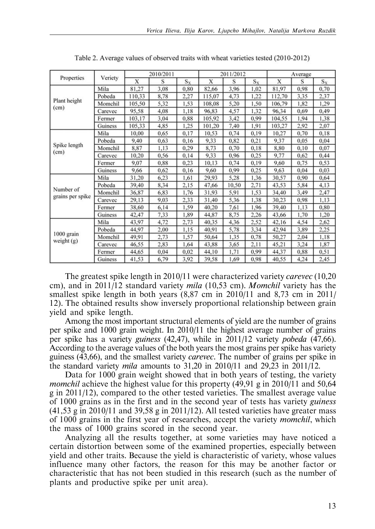| Properties                    | Veriety | 2010/2011 |      |       | 2011/2012 |       |       | Average |      |       |
|-------------------------------|---------|-----------|------|-------|-----------|-------|-------|---------|------|-------|
|                               |         | X         | S    | $S_X$ | Х         | S     | $S_X$ | X       | S    | $S_X$ |
| Plant height<br>(cm)          | Mila    | 81,27     | 3,08 | 0,80  | 82,66     | 3,96  | 1,02  | 81,97   | 0.98 | 0,70  |
|                               | Pobeda  | 110,33    | 8,78 | 2,27  | 115,07    | 4,73  | 1,22  | 112,70  | 3,35 | 2,37  |
|                               | Momchil | 105,50    | 5,32 | 1,53  | 108,08    | 5,20  | 1,50  | 106,79  | 1,82 | 1,29  |
|                               | Carevec | 95,58     | 4,08 | 1,18  | 96,83     | 4,57  | 1,32  | 96,34   | 0.69 | 0,49  |
|                               | Fermer  | 103,17    | 3,04 | 0,88  | 105,92    | 3,42  | 0,99  | 104,55  | 1.94 | 1,38  |
|                               | Guiness | 105,33    | 4,85 | 1,25  | 101,20    | 7,40  | 1,91  | 103,27  | 2,92 | 2,07  |
| Spike length<br>(cm)          | Mila    | 10,00     | 0,65 | 0,17  | 10,53     | 0,74  | 0,19  | 10,27   | 0,70 | 0,18  |
|                               | Pobeda  | 9,40      | 0,63 | 0,16  | 9,33      | 0,82  | 0,21  | 9,37    | 0.05 | 0,04  |
|                               | Momchil | 8,87      | 1,13 | 0,29  | 8,73      | 0,70  | 0,18  | 8,80    | 0,10 | 0,07  |
|                               | Carevec | 10,20     | 0,56 | 0,14  | 9,33      | 0,96  | 0,25  | 9,77    | 0,62 | 0,44  |
|                               | Fermer  | 9.07      | 0,88 | 0,23  | 10,13     | 0,74  | 0,19  | 9.60    | 0,75 | 0,53  |
|                               | Guiness | 9,66      | 0,62 | 0,16  | 9,60      | 0.99  | 0,25  | 9.63    | 0.04 | 0,03  |
| Number of<br>grains per spike | Mila    | 31,20     | 6,23 | 1,61  | 29,93     | 5,28  | 1,36  | 30,57   | 0,90 | 0,64  |
|                               | Pobeda  | 39,40     | 8,34 | 2,15  | 47,66     | 10,50 | 2,71  | 43,53   | 5,84 | 4,13  |
|                               | Momchil | 36,87     | 6,83 | 1,76  | 31,93     | 5,91  | 1,53  | 34,40   | 3,49 | 2,47  |
|                               | Carevec | 29,13     | 9,03 | 2,33  | 31,40     | 5,36  | 1,38  | 30,23   | 0.98 | 1,13  |
|                               | Fermer  | 38,60     | 6,14 | 1,59  | 40,20     | 7,61  | 1,96  | 39,40   | 1,13 | 0,80  |
|                               | Guiness | 42,47     | 7,33 | 1,89  | 44,87     | 8,75  | 2,26  | 43,66   | 1,70 | 1,20  |
| 1000 grain<br>weight (g)      | Mila    | 43,97     | 4,72 | 2,73  | 40,35     | 4,36  | 2,52  | 42,16   | 4,54 | 2,62  |
|                               | Pobeda  | 44,97     | 2,00 | 1,15  | 40,91     | 5,78  | 3,34  | 42,94   | 3,89 | 2,25  |
|                               | Momchil | 49,91     | 2,73 | 1,57  | 50,64     | 1,35  | 0,78  | 50,27   | 2,04 | 1,18  |
|                               | Carevec | 46,55     | 2,83 | 1.64  | 43.88     | 3,65  | 2,11  | 45,21   | 3,24 | 1,87  |
|                               | Fermer  | 44,65     | 0,04 | 0,02  | 44,10     | 1,71  | 0.99  | 44,37   | 0,88 | 0,51  |
|                               | Guiness | 41,53     | 6,79 | 3,92  | 39,58     | 1.69  | 0,98  | 40,55   | 4,24 | 2,45  |

Table 2. Average values of observed traits with wheat varieties tested (2010-2012)

The greatest spike length in 2010/11 were characterized variety *carevec* (10,20 cm), and in 2011/12 standard variety *mila* (10,53 cm). *Momchil* variety has the smallest spike length in both years (8,87 cm in 2010/11 and 8,73 cm in 2011/ 12). The obtained results show inversely proportional relationship between grain yield and spike length.

Among the most important structural elements of yield are the number of grains per spike and 1000 grain weight. In 2010/11 the highest average number of grains per spike has a variety *guiness* (42,47), while in 2011/12 variety *pobeda* (47,66). According to the average values of the both years the most grains per spike has variety guiness (43,66), and the smallest variety *carevec*. The number of grains per spike in the standard variety *mila* amounts to 31,20 in 2010/11 and 29,23 in 2011/12.

Data for 1000 grain weight showed that in both years of testing, the variety *momchil* achieve the highest value for this property (49,91 g in 2010/11 and 50,64 g in 2011/12), compared to the other tested varieties. The smallest average value of 1000 grains as in the first and in the second year of tests has variety *guiness*  $(41.53 \text{ g} \text{ in } 2010/11 \text{ and } 39.58 \text{ g} \text{ in } 2011/12)$ . All tested varieties have greater mass of 1000 grains in the first year of researches, accept the variety *momchil*, which the mass of 1000 grains scored in the second year.

Analyzing all the results together, at some varieties may have noticed a certain distortion between some of the examined properties, especially between yield and other traits. Because the yield is characteristic of variety, whose values influence many other factors, the reason for this may be another factor or characteristic that has not been studied in this research (such as the number of plants and productive spike per unit area).